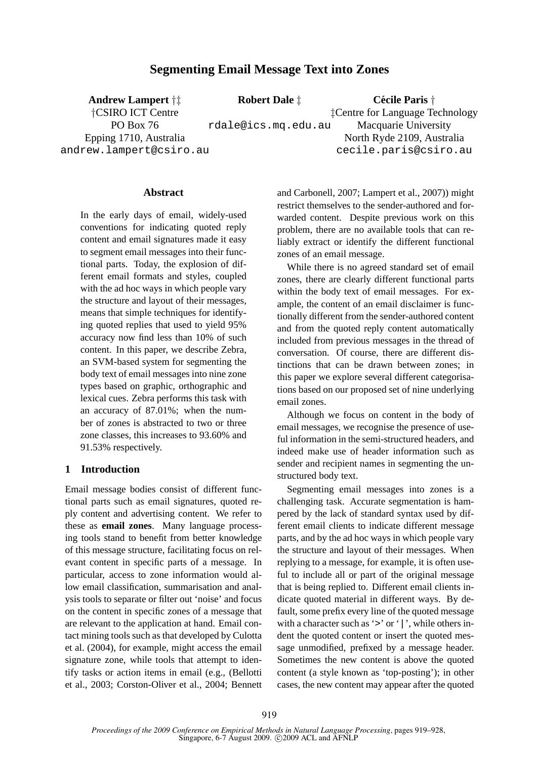# **Segmenting Email Message Text into Zones**

**Andrew Lampert** †‡

**Robert Dale** ‡

**Cecile Paris ´** † ‡Centre for Language Technology

†CSIRO ICT Centre

PO Box 76 Epping 1710, Australia

andrew.lampert@csiro.au

rdale@ics.mq.edu.au Macquarie University North Ryde 2109, Australia cecile.paris@csiro.au

## **Abstract**

In the early days of email, widely-used conventions for indicating quoted reply content and email signatures made it easy to segment email messages into their functional parts. Today, the explosion of different email formats and styles, coupled with the ad hoc ways in which people vary the structure and layout of their messages, means that simple techniques for identifying quoted replies that used to yield 95% accuracy now find less than 10% of such content. In this paper, we describe Zebra, an SVM-based system for segmenting the body text of email messages into nine zone types based on graphic, orthographic and lexical cues. Zebra performs this task with an accuracy of 87.01%; when the number of zones is abstracted to two or three zone classes, this increases to 93.60% and 91.53% respectively.

## **1 Introduction**

Email message bodies consist of different functional parts such as email signatures, quoted reply content and advertising content. We refer to these as **email zones**. Many language processing tools stand to benefit from better knowledge of this message structure, facilitating focus on relevant content in specific parts of a message. In particular, access to zone information would allow email classification, summarisation and analysis tools to separate or filter out 'noise' and focus on the content in specific zones of a message that are relevant to the application at hand. Email contact mining tools such as that developed by Culotta et al. (2004), for example, might access the email signature zone, while tools that attempt to identify tasks or action items in email (e.g., (Bellotti et al., 2003; Corston-Oliver et al., 2004; Bennett

and Carbonell, 2007; Lampert et al., 2007)) might restrict themselves to the sender-authored and forwarded content. Despite previous work on this problem, there are no available tools that can reliably extract or identify the different functional zones of an email message.

While there is no agreed standard set of email zones, there are clearly different functional parts within the body text of email messages. For example, the content of an email disclaimer is functionally different from the sender-authored content and from the quoted reply content automatically included from previous messages in the thread of conversation. Of course, there are different distinctions that can be drawn between zones; in this paper we explore several different categorisations based on our proposed set of nine underlying email zones.

Although we focus on content in the body of email messages, we recognise the presence of useful information in the semi-structured headers, and indeed make use of header information such as sender and recipient names in segmenting the unstructured body text.

Segmenting email messages into zones is a challenging task. Accurate segmentation is hampered by the lack of standard syntax used by different email clients to indicate different message parts, and by the ad hoc ways in which people vary the structure and layout of their messages. When replying to a message, for example, it is often useful to include all or part of the original message that is being replied to. Different email clients indicate quoted material in different ways. By default, some prefix every line of the quoted message with a character such as '>' or '|', while others indent the quoted content or insert the quoted message unmodified, prefixed by a message header. Sometimes the new content is above the quoted content (a style known as 'top-posting'); in other cases, the new content may appear after the quoted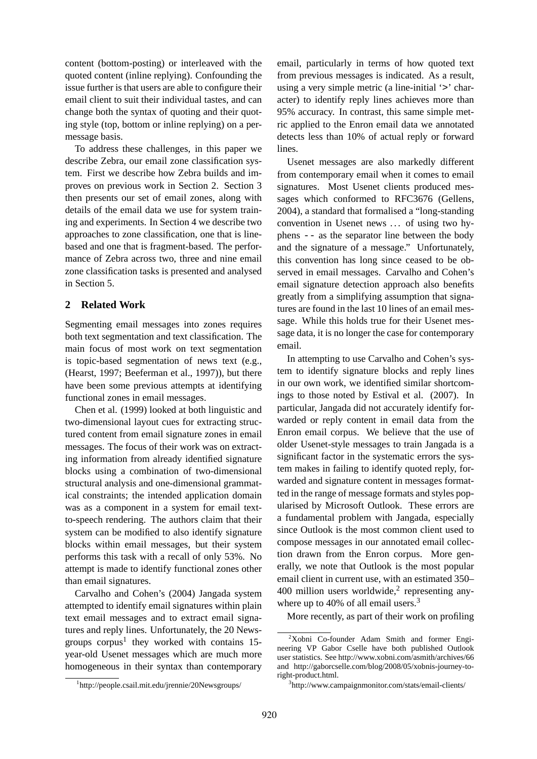content (bottom-posting) or interleaved with the quoted content (inline replying). Confounding the issue further is that users are able to configure their email client to suit their individual tastes, and can change both the syntax of quoting and their quoting style (top, bottom or inline replying) on a permessage basis.

To address these challenges, in this paper we describe Zebra, our email zone classification system. First we describe how Zebra builds and improves on previous work in Section 2. Section 3 then presents our set of email zones, along with details of the email data we use for system training and experiments. In Section 4 we describe two approaches to zone classification, one that is linebased and one that is fragment-based. The performance of Zebra across two, three and nine email zone classification tasks is presented and analysed in Section 5.

## **2 Related Work**

Segmenting email messages into zones requires both text segmentation and text classification. The main focus of most work on text segmentation is topic-based segmentation of news text (e.g., (Hearst, 1997; Beeferman et al., 1997)), but there have been some previous attempts at identifying functional zones in email messages.

Chen et al. (1999) looked at both linguistic and two-dimensional layout cues for extracting structured content from email signature zones in email messages. The focus of their work was on extracting information from already identified signature blocks using a combination of two-dimensional structural analysis and one-dimensional grammatical constraints; the intended application domain was as a component in a system for email textto-speech rendering. The authors claim that their system can be modified to also identify signature blocks within email messages, but their system performs this task with a recall of only 53%. No attempt is made to identify functional zones other than email signatures.

Carvalho and Cohen's (2004) Jangada system attempted to identify email signatures within plain text email messages and to extract email signatures and reply lines. Unfortunately, the 20 Newsgroups  $\text{corpus}^1$  they worked with contains 15year-old Usenet messages which are much more homogeneous in their syntax than contemporary

1 http://people.csail.mit.edu/jrennie/20Newsgroups/

email, particularly in terms of how quoted text from previous messages is indicated. As a result, using a very simple metric (a line-initial '>' character) to identify reply lines achieves more than 95% accuracy. In contrast, this same simple metric applied to the Enron email data we annotated detects less than 10% of actual reply or forward lines.

Usenet messages are also markedly different from contemporary email when it comes to email signatures. Most Usenet clients produced messages which conformed to RFC3676 (Gellens, 2004), a standard that formalised a "long-standing convention in Usenet news . . . of using two hyphens -- as the separator line between the body and the signature of a message." Unfortunately, this convention has long since ceased to be observed in email messages. Carvalho and Cohen's email signature detection approach also benefits greatly from a simplifying assumption that signatures are found in the last 10 lines of an email message. While this holds true for their Usenet message data, it is no longer the case for contemporary email.

In attempting to use Carvalho and Cohen's system to identify signature blocks and reply lines in our own work, we identified similar shortcomings to those noted by Estival et al. (2007). In particular, Jangada did not accurately identify forwarded or reply content in email data from the Enron email corpus. We believe that the use of older Usenet-style messages to train Jangada is a significant factor in the systematic errors the system makes in failing to identify quoted reply, forwarded and signature content in messages formatted in the range of message formats and styles popularised by Microsoft Outlook. These errors are a fundamental problem with Jangada, especially since Outlook is the most common client used to compose messages in our annotated email collection drawn from the Enron corpus. More generally, we note that Outlook is the most popular email client in current use, with an estimated 350–  $400$  million users worldwide,<sup>2</sup> representing anywhere up to 40% of all email users.<sup>3</sup>

More recently, as part of their work on profiling

<sup>2</sup>Xobni Co-founder Adam Smith and former Engineering VP Gabor Cselle have both published Outlook user statistics. See http://www.xobni.com/asmith/archives/66 and http://gaborcselle.com/blog/2008/05/xobnis-journey-toright-product.html.

<sup>3</sup> http://www.campaignmonitor.com/stats/email-clients/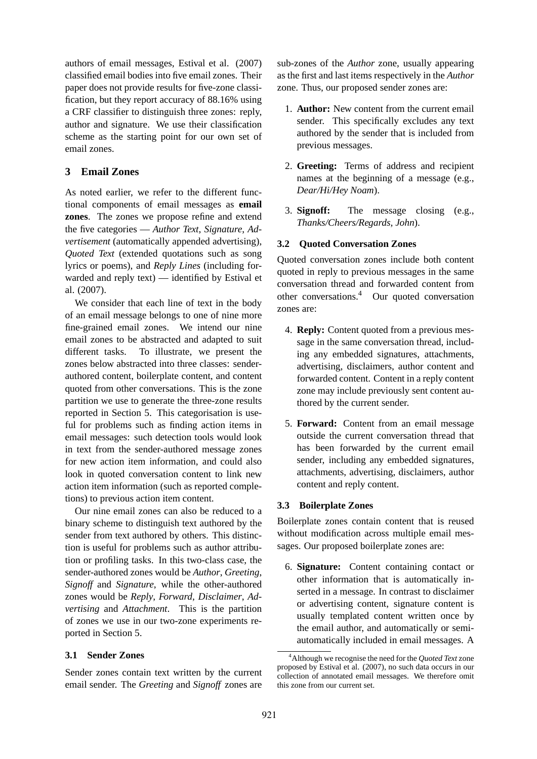authors of email messages, Estival et al. (2007) classified email bodies into five email zones. Their paper does not provide results for five-zone classification, but they report accuracy of 88.16% using a CRF classifier to distinguish three zones: reply, author and signature. We use their classification scheme as the starting point for our own set of email zones.

# **3 Email Zones**

As noted earlier, we refer to the different functional components of email messages as **email zones**. The zones we propose refine and extend the five categories — *Author Text*, *Signature*, *Advertisement* (automatically appended advertising), *Quoted Text* (extended quotations such as song lyrics or poems), and *Reply Lines* (including forwarded and reply text) — identified by Estival et al. (2007).

We consider that each line of text in the body of an email message belongs to one of nine more fine-grained email zones. We intend our nine email zones to be abstracted and adapted to suit different tasks. To illustrate, we present the zones below abstracted into three classes: senderauthored content, boilerplate content, and content quoted from other conversations. This is the zone partition we use to generate the three-zone results reported in Section 5. This categorisation is useful for problems such as finding action items in email messages: such detection tools would look in text from the sender-authored message zones for new action item information, and could also look in quoted conversation content to link new action item information (such as reported completions) to previous action item content.

Our nine email zones can also be reduced to a binary scheme to distinguish text authored by the sender from text authored by others. This distinction is useful for problems such as author attribution or profiling tasks. In this two-class case, the sender-authored zones would be *Author*, *Greeting*, *Signoff* and *Signature*, while the other-authored zones would be *Reply*, *Forward*, *Disclaimer*, *Advertising* and *Attachment*. This is the partition of zones we use in our two-zone experiments reported in Section 5.

# **3.1 Sender Zones**

Sender zones contain text written by the current email sender. The *Greeting* and *Signoff* zones are sub-zones of the *Author* zone, usually appearing as the first and last items respectively in the *Author* zone. Thus, our proposed sender zones are:

- 1. **Author:** New content from the current email sender. This specifically excludes any text authored by the sender that is included from previous messages.
- 2. **Greeting:** Terms of address and recipient names at the beginning of a message (e.g., *Dear/Hi/Hey Noam*).
- 3. **Signoff:** The message closing (e.g., *Thanks/Cheers/Regards, John*).

# **3.2 Quoted Conversation Zones**

Quoted conversation zones include both content quoted in reply to previous messages in the same conversation thread and forwarded content from other conversations.<sup>4</sup> Our quoted conversation zones are:

- 4. **Reply:** Content quoted from a previous message in the same conversation thread, including any embedded signatures, attachments, advertising, disclaimers, author content and forwarded content. Content in a reply content zone may include previously sent content authored by the current sender.
- 5. **Forward:** Content from an email message outside the current conversation thread that has been forwarded by the current email sender, including any embedded signatures, attachments, advertising, disclaimers, author content and reply content.

# **3.3 Boilerplate Zones**

Boilerplate zones contain content that is reused without modification across multiple email messages. Our proposed boilerplate zones are:

6. **Signature:** Content containing contact or other information that is automatically inserted in a message. In contrast to disclaimer or advertising content, signature content is usually templated content written once by the email author, and automatically or semiautomatically included in email messages. A

<sup>4</sup>Although we recognise the need for the *Quoted Text* zone proposed by Estival et al. (2007), no such data occurs in our collection of annotated email messages. We therefore omit this zone from our current set.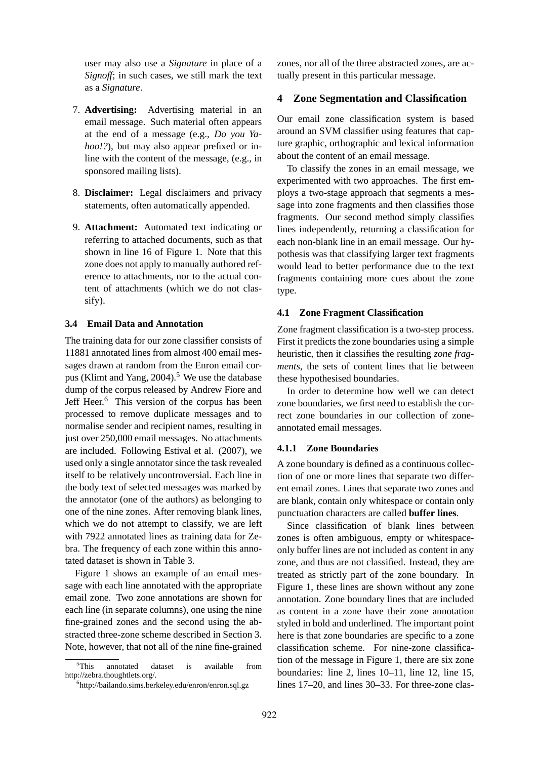user may also use a *Signature* in place of a *Signoff*; in such cases, we still mark the text as a *Signature*.

- 7. **Advertising:** Advertising material in an email message. Such material often appears at the end of a message (e.g., *Do you Yahoo!?*), but may also appear prefixed or inline with the content of the message, (e.g., in sponsored mailing lists).
- 8. **Disclaimer:** Legal disclaimers and privacy statements, often automatically appended.
- 9. **Attachment:** Automated text indicating or referring to attached documents, such as that shown in line 16 of Figure 1. Note that this zone does not apply to manually authored reference to attachments, nor to the actual content of attachments (which we do not classify).

### **3.4 Email Data and Annotation**

The training data for our zone classifier consists of 11881 annotated lines from almost 400 email messages drawn at random from the Enron email corpus (Klimt and Yang, 2004).<sup>5</sup> We use the database dump of the corpus released by Andrew Fiore and Jeff Heer.<sup>6</sup> This version of the corpus has been processed to remove duplicate messages and to normalise sender and recipient names, resulting in just over 250,000 email messages. No attachments are included. Following Estival et al. (2007), we used only a single annotator since the task revealed itself to be relatively uncontroversial. Each line in the body text of selected messages was marked by the annotator (one of the authors) as belonging to one of the nine zones. After removing blank lines, which we do not attempt to classify, we are left with 7922 annotated lines as training data for Zebra. The frequency of each zone within this annotated dataset is shown in Table 3.

Figure 1 shows an example of an email message with each line annotated with the appropriate email zone. Two zone annotations are shown for each line (in separate columns), one using the nine fine-grained zones and the second using the abstracted three-zone scheme described in Section 3. Note, however, that not all of the nine fine-grained zones, nor all of the three abstracted zones, are actually present in this particular message.

#### **4 Zone Segmentation and Classification**

Our email zone classification system is based around an SVM classifier using features that capture graphic, orthographic and lexical information about the content of an email message.

To classify the zones in an email message, we experimented with two approaches. The first employs a two-stage approach that segments a message into zone fragments and then classifies those fragments. Our second method simply classifies lines independently, returning a classification for each non-blank line in an email message. Our hypothesis was that classifying larger text fragments would lead to better performance due to the text fragments containing more cues about the zone type.

#### **4.1 Zone Fragment Classification**

Zone fragment classification is a two-step process. First it predicts the zone boundaries using a simple heuristic, then it classifies the resulting *zone fragments*, the sets of content lines that lie between these hypothesised boundaries.

In order to determine how well we can detect zone boundaries, we first need to establish the correct zone boundaries in our collection of zoneannotated email messages.

### **4.1.1 Zone Boundaries**

A zone boundary is defined as a continuous collection of one or more lines that separate two different email zones. Lines that separate two zones and are blank, contain only whitespace or contain only punctuation characters are called **buffer lines**.

Since classification of blank lines between zones is often ambiguous, empty or whitespaceonly buffer lines are not included as content in any zone, and thus are not classified. Instead, they are treated as strictly part of the zone boundary. In Figure 1, these lines are shown without any zone annotation. Zone boundary lines that are included as content in a zone have their zone annotation styled in bold and underlined. The important point here is that zone boundaries are specific to a zone classification scheme. For nine-zone classification of the message in Figure 1, there are six zone boundaries: line 2, lines 10–11, line 12, line 15, lines 17–20, and lines 30–33. For three-zone clas-

 $5$ This annotated dataset is available from http://zebra.thoughtlets.org/.

<sup>6</sup> http://bailando.sims.berkeley.edu/enron/enron.sql.gz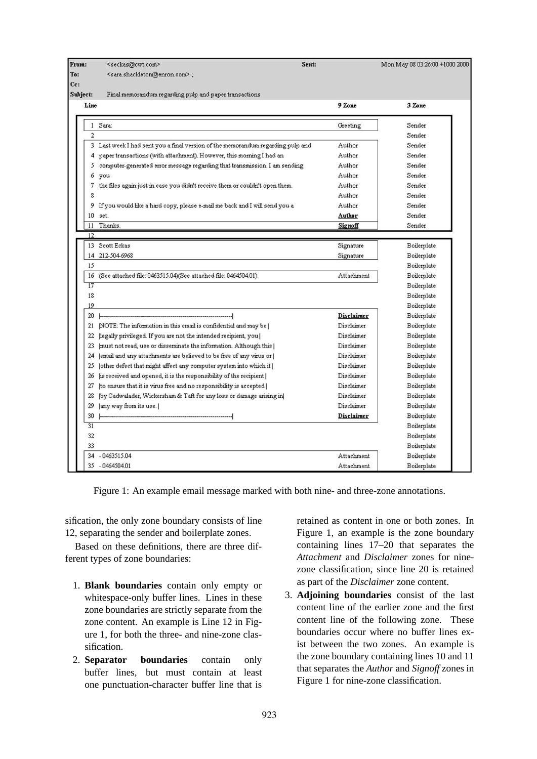| From:          | <seckas@cwt.com></seckas@cwt.com>                                               | Sent:             | Mon May 08 03:26:00 +1000 2000 |
|----------------|---------------------------------------------------------------------------------|-------------------|--------------------------------|
| To:            | <sara.shackleton@enron.com>;</sara.shackleton@enron.com>                        |                   |                                |
| $_{\rm{Cc:}}$  |                                                                                 |                   |                                |
| Subject:       | Final memorandum regarding pulp and paper transactions                          |                   |                                |
| Line           |                                                                                 | 9 Zone            | 3 Zone                         |
| $\mathbf{1}$   | Sara:                                                                           | Greeting          | Sender                         |
| $\overline{2}$ |                                                                                 |                   | Sender                         |
|                | 3 Last week I had sent you a final version of the memorandum regarding pulp and | Author            | Sender                         |
|                | 4 paper transactions (with attachment). However, this morning I had an          | Author            | Sender                         |
|                | 5 computer-generated error message regarding that transmission. I am sending    | Author            | Sender                         |
| 6              | you                                                                             | Author            | Sender                         |
|                | 7 the files again just in case you didn't receive them or couldn't open them.   | Author            | Sender                         |
| 8              |                                                                                 | Author            | Sender                         |
|                | 9 If you would like a hard copy, please e-mail me back and I will send you a    | Author            | Sender                         |
| 10             | set.                                                                            | Author            | Sender                         |
| 11             | Thanks.                                                                         | Signoff           | Sender                         |
| 12             |                                                                                 |                   |                                |
|                | 13 Scott Eckas                                                                  | Signature         | Boilerplate                    |
| 14             | 212-504-6968                                                                    | Signature         | Boilerplate                    |
| 15             |                                                                                 |                   | Boilerplate                    |
| 16             | (See attached file: 0463515.04)(See attached file: 0464504.01)                  | Attachment        | Boilerplate                    |
| 17             |                                                                                 |                   | Boilerplate                    |
| 18             |                                                                                 |                   | Boilerplate                    |
| 19             |                                                                                 |                   | Boilerplate                    |
| $20\,$         |                                                                                 | Disclaimer        | Boilerplate                    |
|                | 21  NOTE: The information in this email is confidential and may be              | Disclaimer        | Boilerplate                    |
| 22             | [legally privileged. If you are not the intended recipient, you ]               | Disclaimer        | Boilerplate                    |
| 23             | [must not read, use or disseminate the information. Although this]              | Disclaimer        | Boilerplate                    |
| 24             | [email and any attachments are believed to be free of any virus or]             | Disclaimer        | Boilerplate                    |
| 25             | [other defect that might affect any computer system into which it]              | Disclaimer        | Boilerplate                    |
| 26             | is received and opened, it is the responsibility of the recipient               | Disclaimer        | Boilerplate                    |
| 27             | (to ensure that it is virus free and no responsibility is accepted)             | Disclaimer        | Boilerplate                    |
| 28             | (by Cadwalader, Wickersham & Taft for any loss or damage arising in)            | Disclaimer        | Boilerplate                    |
| 29             | any way from its use.                                                           | Disclaimer        | Boilerplate                    |
| 30             |                                                                                 | Disclaimer        | Boilerplate                    |
| 31             |                                                                                 |                   | Boilerplate                    |
| 32             |                                                                                 |                   | Boilerplate                    |
| 33             |                                                                                 |                   | Boilerplate                    |
| 34             | $-0463515.04$                                                                   | Attachment        | Boilerplate                    |
|                | 35 - 0464504.01                                                                 | <b>Attachment</b> | Boilerplate                    |

Figure 1: An example email message marked with both nine- and three-zone annotations.

sification, the only zone boundary consists of line 12, separating the sender and boilerplate zones.

Based on these definitions, there are three different types of zone boundaries:

- 1. **Blank boundaries** contain only empty or whitespace-only buffer lines. Lines in these zone boundaries are strictly separate from the zone content. An example is Line 12 in Figure 1, for both the three- and nine-zone classification.
- 2. **Separator boundaries** contain only buffer lines, but must contain at least one punctuation-character buffer line that is

retained as content in one or both zones. In Figure 1, an example is the zone boundary containing lines 17–20 that separates the *Attachment* and *Disclaimer* zones for ninezone classification, since line 20 is retained as part of the *Disclaimer* zone content.

3. **Adjoining boundaries** consist of the last content line of the earlier zone and the first content line of the following zone. These boundaries occur where no buffer lines exist between the two zones. An example is the zone boundary containing lines 10 and 11 that separates the *Author* and *Signoff* zones in Figure 1 for nine-zone classification.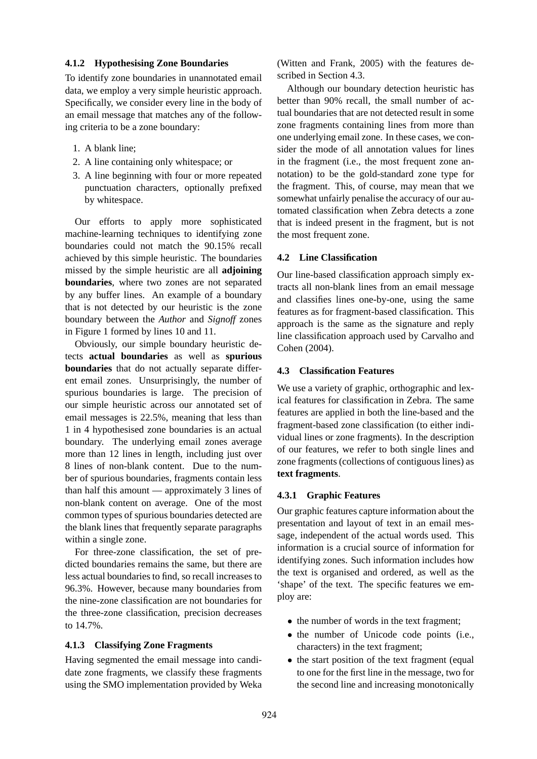## **4.1.2 Hypothesising Zone Boundaries**

To identify zone boundaries in unannotated email data, we employ a very simple heuristic approach. Specifically, we consider every line in the body of an email message that matches any of the following criteria to be a zone boundary:

- 1. A blank line;
- 2. A line containing only whitespace; or
- 3. A line beginning with four or more repeated punctuation characters, optionally prefixed by whitespace.

Our efforts to apply more sophisticated machine-learning techniques to identifying zone boundaries could not match the 90.15% recall achieved by this simple heuristic. The boundaries missed by the simple heuristic are all **adjoining boundaries**, where two zones are not separated by any buffer lines. An example of a boundary that is not detected by our heuristic is the zone boundary between the *Author* and *Signoff* zones in Figure 1 formed by lines 10 and 11.

Obviously, our simple boundary heuristic detects **actual boundaries** as well as **spurious boundaries** that do not actually separate different email zones. Unsurprisingly, the number of spurious boundaries is large. The precision of our simple heuristic across our annotated set of email messages is 22.5%, meaning that less than 1 in 4 hypothesised zone boundaries is an actual boundary. The underlying email zones average more than 12 lines in length, including just over 8 lines of non-blank content. Due to the number of spurious boundaries, fragments contain less than half this amount — approximately 3 lines of non-blank content on average. One of the most common types of spurious boundaries detected are the blank lines that frequently separate paragraphs within a single zone.

For three-zone classification, the set of predicted boundaries remains the same, but there are less actual boundaries to find, so recall increases to 96.3%. However, because many boundaries from the nine-zone classification are not boundaries for the three-zone classification, precision decreases to 14.7%.

### **4.1.3 Classifying Zone Fragments**

Having segmented the email message into candidate zone fragments, we classify these fragments using the SMO implementation provided by Weka (Witten and Frank, 2005) with the features described in Section 4.3.

Although our boundary detection heuristic has better than 90% recall, the small number of actual boundaries that are not detected result in some zone fragments containing lines from more than one underlying email zone. In these cases, we consider the mode of all annotation values for lines in the fragment (i.e., the most frequent zone annotation) to be the gold-standard zone type for the fragment. This, of course, may mean that we somewhat unfairly penalise the accuracy of our automated classification when Zebra detects a zone that is indeed present in the fragment, but is not the most frequent zone.

### **4.2 Line Classification**

Our line-based classification approach simply extracts all non-blank lines from an email message and classifies lines one-by-one, using the same features as for fragment-based classification. This approach is the same as the signature and reply line classification approach used by Carvalho and Cohen (2004).

## **4.3 Classification Features**

We use a variety of graphic, orthographic and lexical features for classification in Zebra. The same features are applied in both the line-based and the fragment-based zone classification (to either individual lines or zone fragments). In the description of our features, we refer to both single lines and zone fragments (collections of contiguous lines) as **text fragments**.

### **4.3.1 Graphic Features**

Our graphic features capture information about the presentation and layout of text in an email message, independent of the actual words used. This information is a crucial source of information for identifying zones. Such information includes how the text is organised and ordered, as well as the 'shape' of the text. The specific features we employ are:

- the number of words in the text fragment;
- the number of Unicode code points (i.e., characters) in the text fragment;
- the start position of the text fragment (equal to one for the first line in the message, two for the second line and increasing monotonically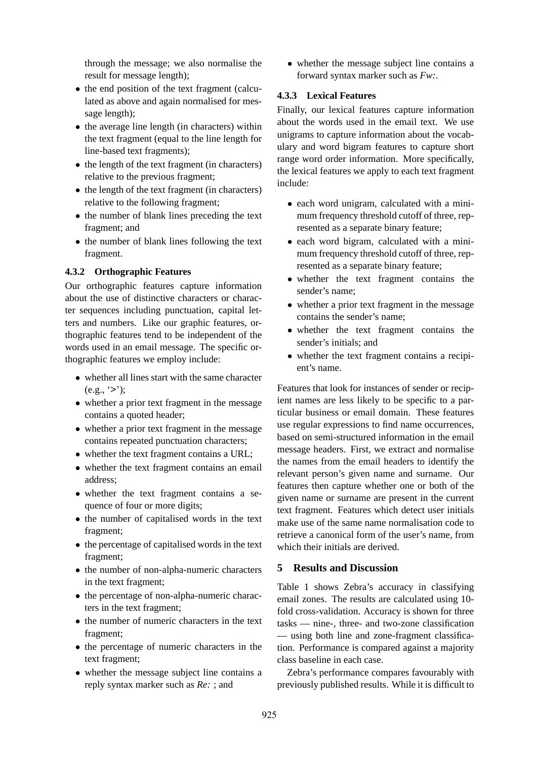through the message; we also normalise the result for message length);

- the end position of the text fragment (calculated as above and again normalised for message length);
- the average line length (in characters) within the text fragment (equal to the line length for line-based text fragments);
- the length of the text fragment (in characters) relative to the previous fragment;
- the length of the text fragment (in characters) relative to the following fragment;
- the number of blank lines preceding the text fragment; and
- the number of blank lines following the text fragment.

## **4.3.2 Orthographic Features**

Our orthographic features capture information about the use of distinctive characters or character sequences including punctuation, capital letters and numbers. Like our graphic features, orthographic features tend to be independent of the words used in an email message. The specific orthographic features we employ include:

- whether all lines start with the same character  $(e.g., '>}')$ ;
- whether a prior text fragment in the message contains a quoted header;
- whether a prior text fragment in the message contains repeated punctuation characters;
- whether the text fragment contains a URL;
- whether the text fragment contains an email address;
- whether the text fragment contains a sequence of four or more digits;
- the number of capitalised words in the text fragment;
- the percentage of capitalised words in the text fragment;
- the number of non-alpha-numeric characters in the text fragment;
- the percentage of non-alpha-numeric characters in the text fragment;
- the number of numeric characters in the text fragment;
- the percentage of numeric characters in the text fragment;
- whether the message subject line contains a reply syntax marker such as *Re:* ; and

• whether the message subject line contains a forward syntax marker such as *Fw:*.

## **4.3.3 Lexical Features**

Finally, our lexical features capture information about the words used in the email text. We use unigrams to capture information about the vocabulary and word bigram features to capture short range word order information. More specifically, the lexical features we apply to each text fragment include:

- each word unigram, calculated with a minimum frequency threshold cutoff of three, represented as a separate binary feature;
- each word bigram, calculated with a minimum frequency threshold cutoff of three, represented as a separate binary feature;
- whether the text fragment contains the sender's name;
- whether a prior text fragment in the message contains the sender's name;
- whether the text fragment contains the sender's initials; and
- whether the text fragment contains a recipient's name.

Features that look for instances of sender or recipient names are less likely to be specific to a particular business or email domain. These features use regular expressions to find name occurrences, based on semi-structured information in the email message headers. First, we extract and normalise the names from the email headers to identify the relevant person's given name and surname. Our features then capture whether one or both of the given name or surname are present in the current text fragment. Features which detect user initials make use of the same name normalisation code to retrieve a canonical form of the user's name, from which their initials are derived.

## **5 Results and Discussion**

Table 1 shows Zebra's accuracy in classifying email zones. The results are calculated using 10 fold cross-validation. Accuracy is shown for three tasks — nine-, three- and two-zone classification — using both line and zone-fragment classification. Performance is compared against a majority class baseline in each case.

Zebra's performance compares favourably with previously published results. While it is difficult to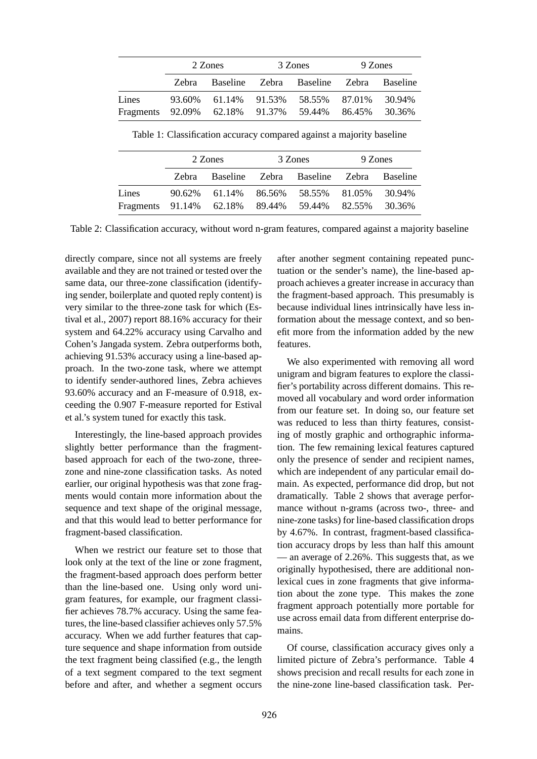|                                         | 2 Zones |                      | 3 Zones                                | 9 Zones |                  |  |
|-----------------------------------------|---------|----------------------|----------------------------------------|---------|------------------|--|
|                                         | Zebra   |                      | Baseline Zebra Baseline Zebra Baseline |         |                  |  |
| Lines<br>Fragments 92.09% 62.18% 91.37% |         | 93.60% 61.14% 91.53% | 58.55% 87.01%<br>59.44%                | 86.45%  | 30.94%<br>30.36% |  |

Table 1: Classification accuracy compared against a majority baseline

|                                              | 2 Zones |                      | 3 Zones                       | 9 Zones |                 |  |
|----------------------------------------------|---------|----------------------|-------------------------------|---------|-----------------|--|
|                                              | Zebra   |                      | Baseline Zebra Baseline Zebra |         | <b>Baseline</b> |  |
| Lines                                        |         | 90.62% 61.14% 86.56% | 58.55% 81.05%                 |         | 30.94%          |  |
| Fragments 91.14% 62.18% 89.44% 59.44% 82.55% |         |                      |                               |         | 30.36%          |  |

Table 2: Classification accuracy, without word n-gram features, compared against a majority baseline

directly compare, since not all systems are freely available and they are not trained or tested over the same data, our three-zone classification (identifying sender, boilerplate and quoted reply content) is very similar to the three-zone task for which (Estival et al., 2007) report 88.16% accuracy for their system and 64.22% accuracy using Carvalho and Cohen's Jangada system. Zebra outperforms both, achieving 91.53% accuracy using a line-based approach. In the two-zone task, where we attempt to identify sender-authored lines, Zebra achieves 93.60% accuracy and an F-measure of 0.918, exceeding the 0.907 F-measure reported for Estival et al.'s system tuned for exactly this task.

Interestingly, the line-based approach provides slightly better performance than the fragmentbased approach for each of the two-zone, threezone and nine-zone classification tasks. As noted earlier, our original hypothesis was that zone fragments would contain more information about the sequence and text shape of the original message, and that this would lead to better performance for fragment-based classification.

When we restrict our feature set to those that look only at the text of the line or zone fragment, the fragment-based approach does perform better than the line-based one. Using only word unigram features, for example, our fragment classifier achieves 78.7% accuracy. Using the same features, the line-based classifier achieves only 57.5% accuracy. When we add further features that capture sequence and shape information from outside the text fragment being classified (e.g., the length of a text segment compared to the text segment before and after, and whether a segment occurs

after another segment containing repeated punctuation or the sender's name), the line-based approach achieves a greater increase in accuracy than the fragment-based approach. This presumably is because individual lines intrinsically have less information about the message context, and so benefit more from the information added by the new features.

We also experimented with removing all word unigram and bigram features to explore the classifier's portability across different domains. This removed all vocabulary and word order information from our feature set. In doing so, our feature set was reduced to less than thirty features, consisting of mostly graphic and orthographic information. The few remaining lexical features captured only the presence of sender and recipient names, which are independent of any particular email domain. As expected, performance did drop, but not dramatically. Table 2 shows that average performance without n-grams (across two-, three- and nine-zone tasks) for line-based classification drops by 4.67%. In contrast, fragment-based classification accuracy drops by less than half this amount — an average of 2.26%. This suggests that, as we originally hypothesised, there are additional nonlexical cues in zone fragments that give information about the zone type. This makes the zone fragment approach potentially more portable for use across email data from different enterprise domains.

Of course, classification accuracy gives only a limited picture of Zebra's performance. Table 4 shows precision and recall results for each zone in the nine-zone line-based classification task. Per-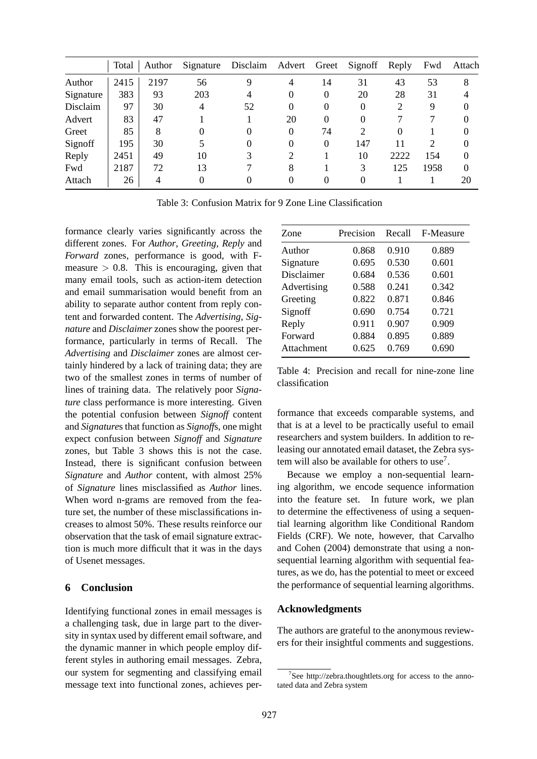|           | Total | Author |          | Signature Disclaim | Advert | Greet    | Signoff               | Reply    | Fwd           | Attach   |
|-----------|-------|--------|----------|--------------------|--------|----------|-----------------------|----------|---------------|----------|
| Author    | 2415  | 2197   | 56       |                    | 4      | 14       | 31                    | 43       | 53            | 8        |
| Signature | 383   | 93     | 203      | 4                  |        | $\Omega$ | 20                    | 28       | 31            |          |
| Disclaim  | 97    | 30     | 4        | 52                 |        | $\Omega$ | $\overline{0}$        | 2        | 9             |          |
| Advert    | 83    | 47     |          |                    | 20     | $\Omega$ | $\Omega$              |          |               |          |
| Greet     | 85    | 8      | $\theta$ | $_{0}$             |        | 74       | $\mathcal{D}_{\cdot}$ | $\Omega$ |               |          |
| Signoff   | 195   | 30     |          | $\theta$           |        | $\Omega$ | 147                   | 11       | $\mathcal{D}$ |          |
| Reply     | 2451  | 49     | 10       |                    |        |          | 10                    | 2222     | 154           | 0        |
| Fwd       | 2187  | 72     | 13       |                    | 8      |          | 3                     | 125      | 1958          | $\Omega$ |
| Attach    | 26    | 4      | $\theta$ |                    |        | $\theta$ | $\Omega$              |          |               | 20       |

Table 3: Confusion Matrix for 9 Zone Line Classification

formance clearly varies significantly across the different zones. For *Author*, *Greeting*, *Reply* and *Forward* zones, performance is good, with Fmeasure  $> 0.8$ . This is encouraging, given that many email tools, such as action-item detection and email summarisation would benefit from an ability to separate author content from reply content and forwarded content. The *Advertising*, *Signature* and *Disclaimer* zones show the poorest performance, particularly in terms of Recall. The *Advertising* and *Disclaimer* zones are almost certainly hindered by a lack of training data; they are two of the smallest zones in terms of number of lines of training data. The relatively poor *Signature* class performance is more interesting. Given the potential confusion between *Signoff* content and *Signature*s that function as *Signoff*s, one might expect confusion between *Signoff* and *Signature* zones, but Table 3 shows this is not the case. Instead, there is significant confusion between *Signature* and *Author* content, with almost 25% of *Signature* lines misclassified as *Author* lines. When word n-grams are removed from the feature set, the number of these misclassifications increases to almost 50%. These results reinforce our observation that the task of email signature extraction is much more difficult that it was in the days of Usenet messages.

# **6 Conclusion**

Identifying functional zones in email messages is a challenging task, due in large part to the diversity in syntax used by different email software, and the dynamic manner in which people employ different styles in authoring email messages. Zebra, our system for segmenting and classifying email message text into functional zones, achieves per-

| Zone        | Precision | Recall | F-Measure |
|-------------|-----------|--------|-----------|
| Author      | 0.868     | 0.910  | 0.889     |
| Signature   | 0.695     | 0.530  | 0.601     |
| Disclaimer  | 0.684     | 0.536  | 0.601     |
| Advertising | 0.588     | 0.241  | 0.342     |
| Greeting    | 0.822     | 0.871  | 0.846     |
| Signoff     | 0.690     | 0.754  | 0.721     |
| Reply       | 0.911     | 0.907  | 0.909     |
| Forward     | 0.884     | 0.895  | 0.889     |
| Attachment  | 0.625     | 0.769  | 0.690     |

Table 4: Precision and recall for nine-zone line classification

formance that exceeds comparable systems, and that is at a level to be practically useful to email researchers and system builders. In addition to releasing our annotated email dataset, the Zebra system will also be available for others to use<sup>7</sup>.

Because we employ a non-sequential learning algorithm, we encode sequence information into the feature set. In future work, we plan to determine the effectiveness of using a sequential learning algorithm like Conditional Random Fields (CRF). We note, however, that Carvalho and Cohen (2004) demonstrate that using a nonsequential learning algorithm with sequential features, as we do, has the potential to meet or exceed the performance of sequential learning algorithms.

## **Acknowledgments**

The authors are grateful to the anonymous reviewers for their insightful comments and suggestions.

<sup>7</sup> See http://zebra.thoughtlets.org for access to the annotated data and Zebra system